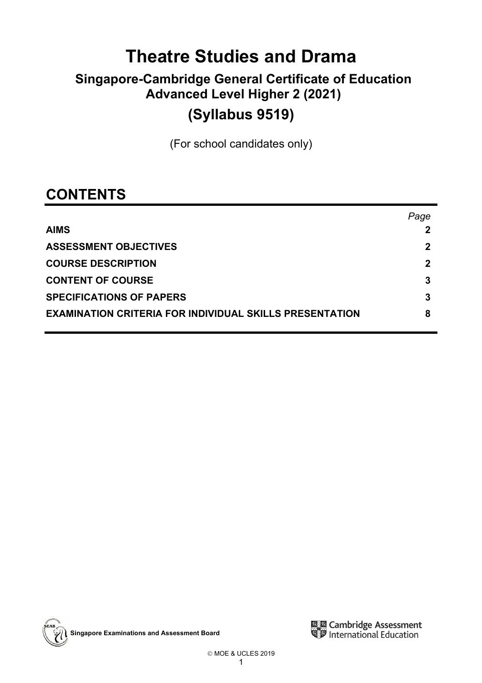# **Theatre Studies and Drama**

# **Singapore-Cambridge General Certificate of Education Advanced Level Higher 2 (2021) (Syllabus 9519)**

(For school candidates only)

# **CONTENTS**

|                                                                | Page |
|----------------------------------------------------------------|------|
| <b>AIMS</b>                                                    |      |
| <b>ASSESSMENT OBJECTIVES</b>                                   | 2    |
| <b>COURSE DESCRIPTION</b>                                      | 2    |
| <b>CONTENT OF COURSE</b>                                       | 3    |
| <b>SPECIFICATIONS OF PAPERS</b>                                | 3    |
| <b>EXAMINATION CRITERIA FOR INDIVIDUAL SKILLS PRESENTATION</b> | 8    |



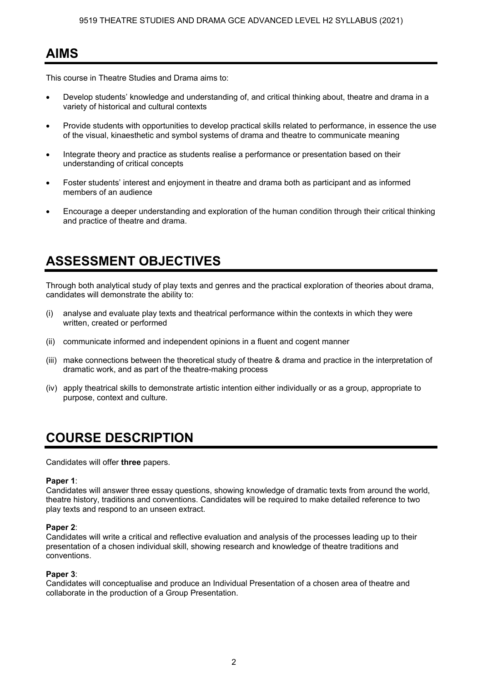### **AIMS**

This course in Theatre Studies and Drama aims to:

- Develop students' knowledge and understanding of, and critical thinking about, theatre and drama in a variety of historical and cultural contexts
- Provide students with opportunities to develop practical skills related to performance, in essence the use of the visual, kinaesthetic and symbol systems of drama and theatre to communicate meaning
- Integrate theory and practice as students realise a performance or presentation based on their understanding of critical concepts
- Foster students' interest and enjoyment in theatre and drama both as participant and as informed members of an audience
- Encourage a deeper understanding and exploration of the human condition through their critical thinking and practice of theatre and drama.

# **ASSESSMENT OBJECTIVES**

Through both analytical study of play texts and genres and the practical exploration of theories about drama, candidates will demonstrate the ability to:

- (i) analyse and evaluate play texts and theatrical performance within the contexts in which they were written, created or performed
- (ii) communicate informed and independent opinions in a fluent and cogent manner
- (iii) make connections between the theoretical study of theatre & drama and practice in the interpretation of dramatic work, and as part of the theatre-making process
- (iv) apply theatrical skills to demonstrate artistic intention either individually or as a group, appropriate to purpose, context and culture.

# **COURSE DESCRIPTION**

Candidates will offer **three** papers.

#### **Paper 1**:

Candidates will answer three essay questions, showing knowledge of dramatic texts from around the world, theatre history, traditions and conventions. Candidates will be required to make detailed reference to two play texts and respond to an unseen extract.

#### **Paper 2**:

Candidates will write a critical and reflective evaluation and analysis of the processes leading up to their presentation of a chosen individual skill, showing research and knowledge of theatre traditions and conventions.

#### **Paper 3**:

Candidates will conceptualise and produce an Individual Presentation of a chosen area of theatre and collaborate in the production of a Group Presentation.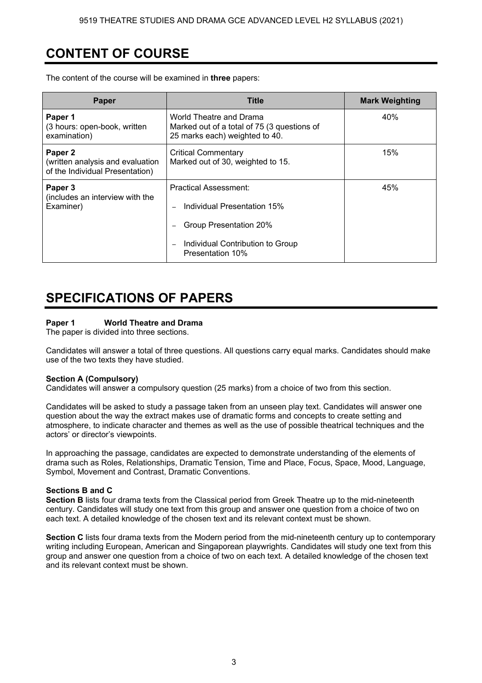### **CONTENT OF COURSE**

The content of the course will be examined in **three** papers:

| Paper                                                                                     | <b>Title</b>                                                                                             | <b>Mark Weighting</b> |
|-------------------------------------------------------------------------------------------|----------------------------------------------------------------------------------------------------------|-----------------------|
| Paper 1<br>(3 hours: open-book, written<br>examination)                                   | World Theatre and Drama<br>Marked out of a total of 75 (3 questions of<br>25 marks each) weighted to 40. | 40%                   |
| Paper <sub>2</sub><br>(written analysis and evaluation<br>of the Individual Presentation) | <b>Critical Commentary</b><br>Marked out of 30, weighted to 15.                                          | 15%                   |
| Paper 3<br>(includes an interview with the<br>Examiner)                                   | Practical Assessment:                                                                                    | 45%                   |
|                                                                                           | Individual Presentation 15%                                                                              |                       |
|                                                                                           | Group Presentation 20%                                                                                   |                       |
|                                                                                           | Individual Contribution to Group<br>Presentation 10%                                                     |                       |

### **SPECIFICATIONS OF PAPERS**

#### **Paper 1 World Theatre and Drama**

The paper is divided into three sections.

Candidates will answer a total of three questions. All questions carry equal marks. Candidates should make use of the two texts they have studied.

#### **Section A (Compulsory)**

Candidates will answer a compulsory question (25 marks) from a choice of two from this section.

Candidates will be asked to study a passage taken from an unseen play text. Candidates will answer one question about the way the extract makes use of dramatic forms and concepts to create setting and atmosphere, to indicate character and themes as well as the use of possible theatrical techniques and the actors' or director's viewpoints.

In approaching the passage, candidates are expected to demonstrate understanding of the elements of drama such as Roles, Relationships, Dramatic Tension, Time and Place, Focus, Space, Mood, Language, Symbol, Movement and Contrast, Dramatic Conventions.

#### **Sections B and C**

**Section B** lists four drama texts from the Classical period from Greek Theatre up to the mid-nineteenth century. Candidates will study one text from this group and answer one question from a choice of two on each text. A detailed knowledge of the chosen text and its relevant context must be shown.

**Section C** lists four drama texts from the Modern period from the mid-nineteenth century up to contemporary writing including European, American and Singaporean playwrights. Candidates will study one text from this group and answer one question from a choice of two on each text. A detailed knowledge of the chosen text and its relevant context must be shown.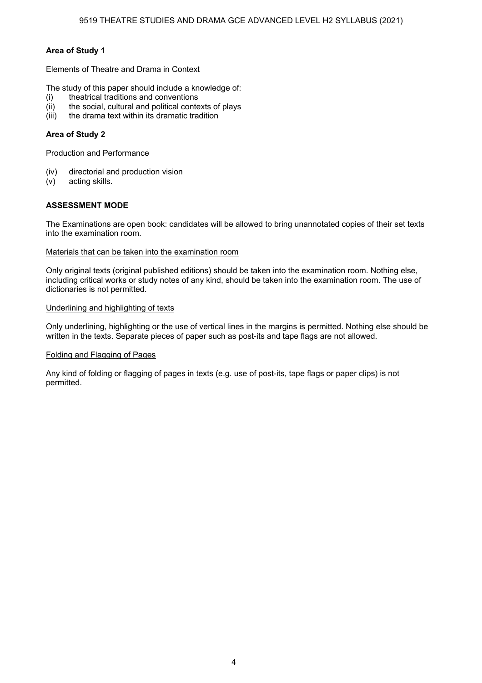#### **Area of Study 1**

Elements of Theatre and Drama in Context

The study of this paper should include a knowledge of:

- (i) theatrical traditions and conventions
- (ii) the social, cultural and political contexts of plays
- (iii) the drama text within its dramatic tradition

#### **Area of Study 2**

Production and Performance

- (iv) directorial and production vision
- (v) acting skills.

#### **ASSESSMENT MODE**

The Examinations are open book: candidates will be allowed to bring unannotated copies of their set texts into the examination room.

#### Materials that can be taken into the examination room

Only original texts (original published editions) should be taken into the examination room. Nothing else, including critical works or study notes of any kind, should be taken into the examination room. The use of dictionaries is not permitted.

#### Underlining and highlighting of texts

Only underlining, highlighting or the use of vertical lines in the margins is permitted. Nothing else should be written in the texts. Separate pieces of paper such as post-its and tape flags are not allowed.

#### Folding and Flagging of Pages

Any kind of folding or flagging of pages in texts (e.g. use of post-its, tape flags or paper clips) is not permitted.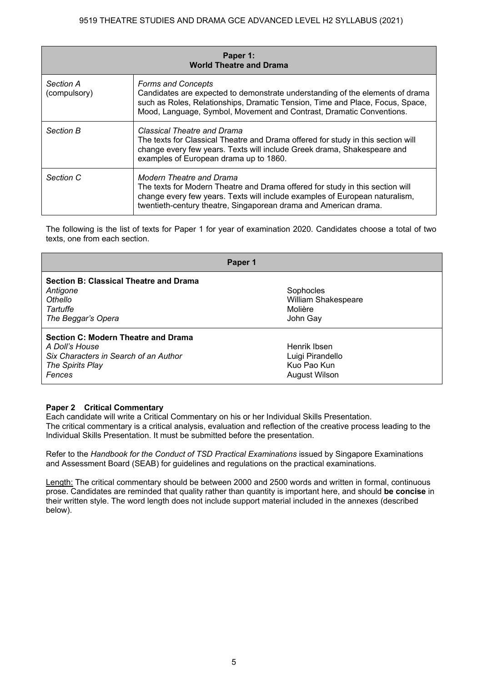| Paper 1:<br><b>World Theatre and Drama</b> |                                                                                                                                                                                                                                                                     |  |
|--------------------------------------------|---------------------------------------------------------------------------------------------------------------------------------------------------------------------------------------------------------------------------------------------------------------------|--|
| Section A<br>(compulsory)                  | <b>Forms and Concepts</b><br>Candidates are expected to demonstrate understanding of the elements of drama<br>such as Roles, Relationships, Dramatic Tension, Time and Place, Focus, Space,<br>Mood, Language, Symbol, Movement and Contrast, Dramatic Conventions. |  |
| Section B                                  | Classical Theatre and Drama<br>The texts for Classical Theatre and Drama offered for study in this section will<br>change every few years. Texts will include Greek drama, Shakespeare and<br>examples of European drama up to 1860.                                |  |
| Section C                                  | Modern Theatre and Drama<br>The texts for Modern Theatre and Drama offered for study in this section will<br>change every few years. Texts will include examples of European naturalism,<br>twentieth-century theatre, Singaporean drama and American drama.        |  |

The following is the list of texts for Paper 1 for year of examination 2020. Candidates choose a total of two texts, one from each section.

| Paper 1                                                                                                                      |                                                                         |  |
|------------------------------------------------------------------------------------------------------------------------------|-------------------------------------------------------------------------|--|
| <b>Section B: Classical Theatre and Drama</b><br>Antigone<br>Othello<br>Tartuffe<br>The Beggar's Opera                       | Sophocles<br><b>William Shakespeare</b><br>Molière<br>John Gay          |  |
| Section C: Modern Theatre and Drama<br>A Doll's House<br>Six Characters in Search of an Author<br>The Spirits Play<br>Fences | Henrik Ibsen<br>Luigi Pirandello<br>Kuo Pao Kun<br><b>August Wilson</b> |  |

#### **Paper 2 Critical Commentary**

Each candidate will write a Critical Commentary on his or her Individual Skills Presentation. The critical commentary is a critical analysis, evaluation and reflection of the creative process leading to the Individual Skills Presentation. It must be submitted before the presentation.

Refer to the *Handbook for the Conduct of TSD Practical Examinations* issued by Singapore Examinations and Assessment Board (SEAB) for guidelines and regulations on the practical examinations.

Length: The critical commentary should be between 2000 and 2500 words and written in formal, continuous prose. Candidates are reminded that quality rather than quantity is important here, and should **be concise** in their written style. The word length does not include support material included in the annexes (described below).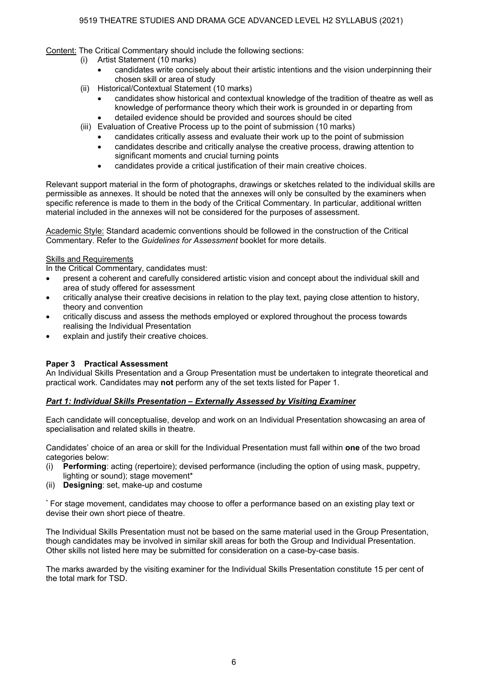Content: The Critical Commentary should include the following sections:

- (i) Artist Statement (10 marks)
	- candidates write concisely about their artistic intentions and the vision underpinning their chosen skill or area of study
	- (ii) Historical/Contextual Statement (10 marks)
		- candidates show historical and contextual knowledge of the tradition of theatre as well as knowledge of performance theory which their work is grounded in or departing from
	- detailed evidence should be provided and sources should be cited (iii) Evaluation of Creative Process up to the point of submission (10 marks)
		- candidates critically assess and evaluate their work up to the point of submission
			- candidates describe and critically analyse the creative process, drawing attention to significant moments and crucial turning points
			- candidates provide a critical justification of their main creative choices.

Relevant support material in the form of photographs, drawings or sketches related to the individual skills are permissible as annexes. It should be noted that the annexes will only be consulted by the examiners when specific reference is made to them in the body of the Critical Commentary. In particular, additional written material included in the annexes will not be considered for the purposes of assessment.

Academic Style: Standard academic conventions should be followed in the construction of the Critical Commentary. Refer to the *Guidelines for Assessment* booklet for more details.

#### Skills and Requirements

In the Critical Commentary, candidates must:

- present a coherent and carefully considered artistic vision and concept about the individual skill and area of study offered for assessment
- critically analyse their creative decisions in relation to the play text, paying close attention to history, theory and convention
- critically discuss and assess the methods employed or explored throughout the process towards realising the Individual Presentation
- explain and justify their creative choices.

#### **Paper 3 Practical Assessment**

An Individual Skills Presentation and a Group Presentation must be undertaken to integrate theoretical and practical work. Candidates may **not** perform any of the set texts listed for Paper 1.

#### *Part 1: Individual Skills Presentation – Externally Assessed by Visiting Examiner*

Each candidate will conceptualise, develop and work on an Individual Presentation showcasing an area of specialisation and related skills in theatre.

Candidates' choice of an area or skill for the Individual Presentation must fall within **one** of the two broad categories below:

- (i) **Performing**: acting (repertoire); devised performance (including the option of using mask, puppetry, lighting or sound); stage movement\*
- (ii) **Designing**: set, make-up and costume

\* For stage movement, candidates may choose to offer a performance based on an existing play text or devise their own short piece of theatre.

The Individual Skills Presentation must not be based on the same material used in the Group Presentation, though candidates may be involved in similar skill areas for both the Group and Individual Presentation. Other skills not listed here may be submitted for consideration on a case-by-case basis.

The marks awarded by the visiting examiner for the Individual Skills Presentation constitute 15 per cent of the total mark for TSD.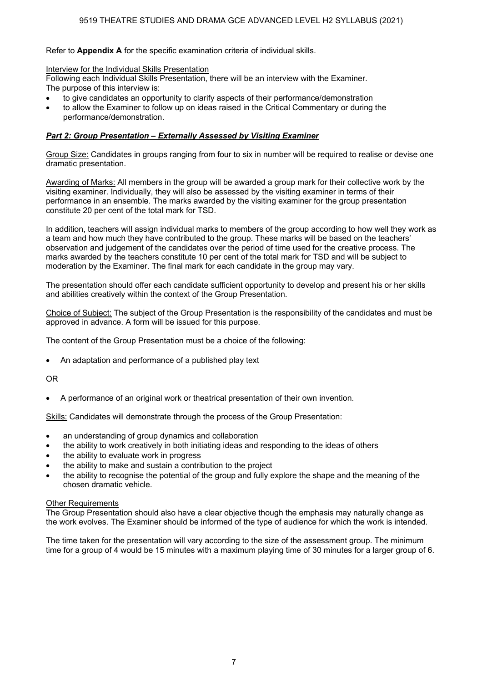#### Refer to **Appendix A** for the specific examination criteria of individual skills.

Interview for the Individual Skills Presentation

Following each Individual Skills Presentation, there will be an interview with the Examiner.

- The purpose of this interview is:
- to give candidates an opportunity to clarify aspects of their performance/demonstration
- to allow the Examiner to follow up on ideas raised in the Critical Commentary or during the performance/demonstration.

#### *Part 2: Group Presentation – Externally Assessed by Visiting Examiner*

Group Size: Candidates in groups ranging from four to six in number will be required to realise or devise one dramatic presentation.

Awarding of Marks: All members in the group will be awarded a group mark for their collective work by the visiting examiner. Individually, they will also be assessed by the visiting examiner in terms of their performance in an ensemble. The marks awarded by the visiting examiner for the group presentation constitute 20 per cent of the total mark for TSD.

In addition, teachers will assign individual marks to members of the group according to how well they work as a team and how much they have contributed to the group. These marks will be based on the teachers' observation and judgement of the candidates over the period of time used for the creative process. The marks awarded by the teachers constitute 10 per cent of the total mark for TSD and will be subject to moderation by the Examiner. The final mark for each candidate in the group may vary.

The presentation should offer each candidate sufficient opportunity to develop and present his or her skills and abilities creatively within the context of the Group Presentation.

Choice of Subject: The subject of the Group Presentation is the responsibility of the candidates and must be approved in advance. A form will be issued for this purpose.

The content of the Group Presentation must be a choice of the following:

• An adaptation and performance of a published play text

OR

• A performance of an original work or theatrical presentation of their own invention.

Skills: Candidates will demonstrate through the process of the Group Presentation:

- an understanding of group dynamics and collaboration
- the ability to work creatively in both initiating ideas and responding to the ideas of others
- the ability to evaluate work in progress
- the ability to make and sustain a contribution to the project
- the ability to recognise the potential of the group and fully explore the shape and the meaning of the chosen dramatic vehicle.

#### Other Requirements

The Group Presentation should also have a clear objective though the emphasis may naturally change as the work evolves. The Examiner should be informed of the type of audience for which the work is intended.

The time taken for the presentation will vary according to the size of the assessment group. The minimum time for a group of 4 would be 15 minutes with a maximum playing time of 30 minutes for a larger group of 6.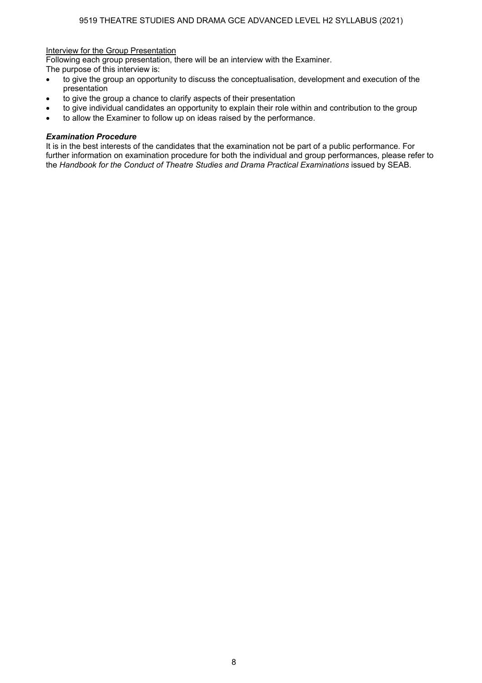#### Interview for the Group Presentation

Following each group presentation, there will be an interview with the Examiner.

The purpose of this interview is:

- to give the group an opportunity to discuss the conceptualisation, development and execution of the presentation
- to give the group a chance to clarify aspects of their presentation
- to give individual candidates an opportunity to explain their role within and contribution to the group
- to allow the Examiner to follow up on ideas raised by the performance.

#### *Examination Procedure*

It is in the best interests of the candidates that the examination not be part of a public performance. For further information on examination procedure for both the individual and group performances, please refer to the *Handbook for the Conduct of Theatre Studies and Drama Practical Examinations* issued by SEAB.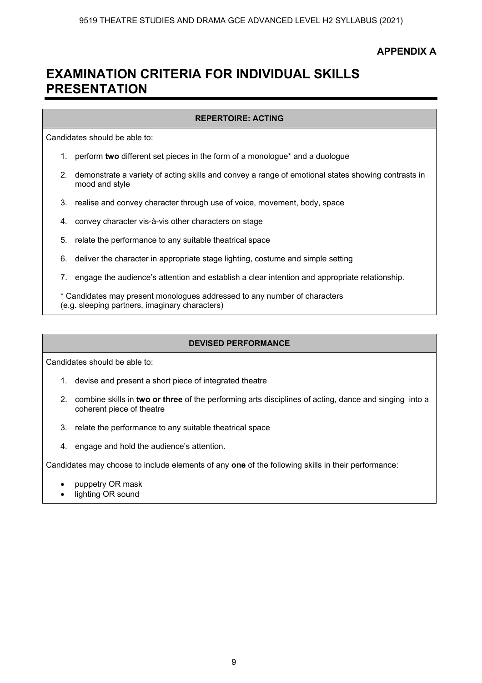#### **APPENDIX A**

### **EXAMINATION CRITERIA FOR INDIVIDUAL SKILLS PRESENTATION**

#### **REPERTOIRE: ACTING**

Candidates should be able to:

- 1. perform **two** different set pieces in the form of a monologue\* and a duologue
- 2. demonstrate a variety of acting skills and convey a range of emotional states showing contrasts in mood and style
- 3. realise and convey character through use of voice, movement, body, space
- 4. convey character vis-à-vis other characters on stage
- 5. relate the performance to any suitable theatrical space
- 6. deliver the character in appropriate stage lighting, costume and simple setting
- 7. engage the audience's attention and establish a clear intention and appropriate relationship.

\* Candidates may present monologues addressed to any number of characters (e.g. sleeping partners, imaginary characters)

#### **DEVISED PERFORMANCE**

Candidates should be able to:

- 1. devise and present a short piece of integrated theatre
- 2. combine skills in **two or three** of the performing arts disciplines of acting, dance and singing into a coherent piece of theatre
- 3. relate the performance to any suitable theatrical space
- 4. engage and hold the audience's attention.

Candidates may choose to include elements of any **one** of the following skills in their performance:

- puppetry OR mask
- lighting OR sound